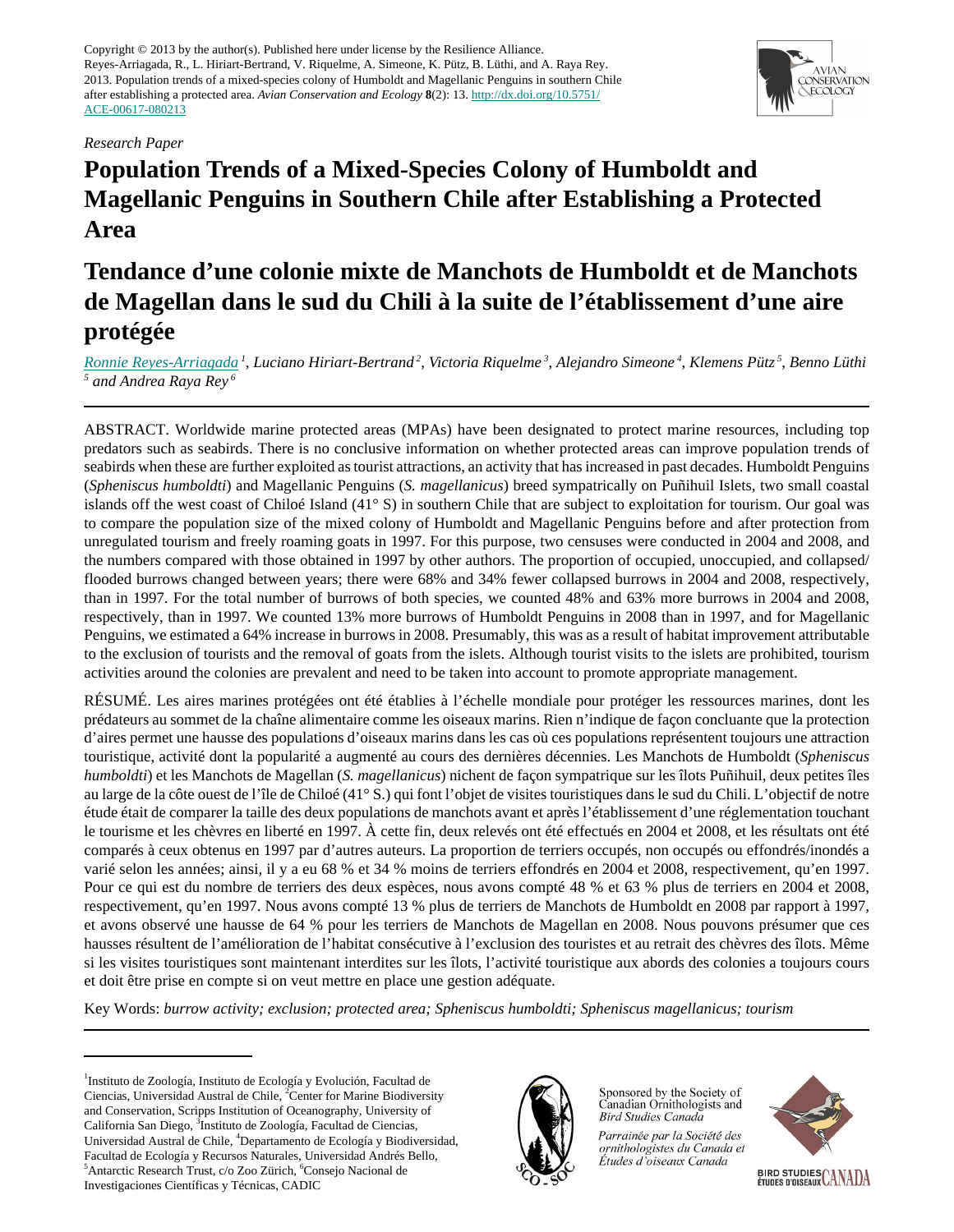Copyright © 2013 by the author(s). Published here under license by the Resilience Alliance. Reyes-Arriagada, R., L. Hiriart-Bertrand, V. Riquelme, A. Simeone, K. Pütz, B. Lüthi, and A. Raya Rey. 2013. Population trends of a mixed-species colony of Humboldt and Magellanic Penguins in southern Chile after establishing a protected area. *Avian Conservation and Ecology* **8**(2): 13. [http://dx.doi.org/10.5751/](http://dx.doi.org/10.5751/ACE-00617-080213) [ACE-00617-080213](http://dx.doi.org/10.5751/ACE-00617-080213)



## *Research Paper*

# **Population Trends of a Mixed-Species Colony of Humboldt and Magellanic Penguins in Southern Chile after Establishing a Protected Area**

## **Tendance d'une colonie mixte de Manchots de Humboldt et de Manchots de Magellan dans le sud du Chili à la suite de l'établissement d'une aire protégée**

*[Ronnie Reyes-Arriagada](mailto:ronniereyes1@gmail.com)<sup>1</sup>* , *Luciano Hiriart-Bertrand<sup>2</sup>* , *Victoria Riquelme<sup>3</sup>* , *Alejandro Simeone<sup>4</sup>* , *Klemens Pütz<sup>5</sup>* , *Benno Lüthi 5 and Andrea Raya Rey<sup>6</sup>*

ABSTRACT. Worldwide marine protected areas (MPAs) have been designated to protect marine resources, including top predators such as seabirds. There is no conclusive information on whether protected areas can improve population trends of seabirds when these are further exploited as tourist attractions, an activity that has increased in past decades. Humboldt Penguins (*Spheniscus humboldti*) and Magellanic Penguins (*S. magellanicus*) breed sympatrically on Puñihuil Islets, two small coastal islands off the west coast of Chiloé Island (41° S) in southern Chile that are subject to exploitation for tourism. Our goal was to compare the population size of the mixed colony of Humboldt and Magellanic Penguins before and after protection from unregulated tourism and freely roaming goats in 1997. For this purpose, two censuses were conducted in 2004 and 2008, and the numbers compared with those obtained in 1997 by other authors. The proportion of occupied, unoccupied, and collapsed/ flooded burrows changed between years; there were 68% and 34% fewer collapsed burrows in 2004 and 2008, respectively, than in 1997. For the total number of burrows of both species, we counted 48% and 63% more burrows in 2004 and 2008, respectively, than in 1997. We counted 13% more burrows of Humboldt Penguins in 2008 than in 1997, and for Magellanic Penguins, we estimated a 64% increase in burrows in 2008. Presumably, this was as a result of habitat improvement attributable to the exclusion of tourists and the removal of goats from the islets. Although tourist visits to the islets are prohibited, tourism activities around the colonies are prevalent and need to be taken into account to promote appropriate management.

RÉSUMÉ. Les aires marines protégées ont été établies à l'échelle mondiale pour protéger les ressources marines, dont les prédateurs au sommet de la chaîne alimentaire comme les oiseaux marins. Rien n'indique de façon concluante que la protection d'aires permet une hausse des populations d'oiseaux marins dans les cas où ces populations représentent toujours une attraction touristique, activité dont la popularité a augmenté au cours des dernières décennies. Les Manchots de Humboldt (*Spheniscus humboldti*) et les Manchots de Magellan (*S. magellanicus*) nichent de façon sympatrique sur les îlots Puñihuil, deux petites îles au large de la côte ouest de l'île de Chiloé (41° S.) qui font l'objet de visites touristiques dans le sud du Chili. L'objectif de notre étude était de comparer la taille des deux populations de manchots avant et après l'établissement d'une réglementation touchant le tourisme et les chèvres en liberté en 1997. À cette fin, deux relevés ont été effectués en 2004 et 2008, et les résultats ont été comparés à ceux obtenus en 1997 par d'autres auteurs. La proportion de terriers occupés, non occupés ou effondrés/inondés a varié selon les années; ainsi, il y a eu 68 % et 34 % moins de terriers effondrés en 2004 et 2008, respectivement, qu'en 1997. Pour ce qui est du nombre de terriers des deux espèces, nous avons compté 48 % et 63 % plus de terriers en 2004 et 2008, respectivement, qu'en 1997. Nous avons compté 13 % plus de terriers de Manchots de Humboldt en 2008 par rapport à 1997, et avons observé une hausse de 64 % pour les terriers de Manchots de Magellan en 2008. Nous pouvons présumer que ces hausses résultent de l'amélioration de l'habitat consécutive à l'exclusion des touristes et au retrait des chèvres des îlots. Même si les visites touristiques sont maintenant interdites sur les îlots, l'activité touristique aux abords des colonies a toujours cours et doit être prise en compte si on veut mettre en place une gestion adéquate.

Key Words: *burrow activity; exclusion; protected area; Spheniscus humboldti; Spheniscus magellanicus; tourism*

<sup>&</sup>lt;sup>1</sup>Instituto de Zoología, Instituto de Ecología y Evolución, Facultad de Ciencias, Universidad Austral de Chile, <sup>2</sup>Center for Marine Biodiversity and Conservation, Scripps Institution of Oceanography, University of California San Diego, <sup>3</sup>Instituto de Zoología, Facultad de Ciencias, Universidad Austral de Chile, <sup>4</sup>Departamento de Ecología y Biodiversidad, Facultad de Ecología y Recursos Naturales, Universidad Andrés Bello, <sup>5</sup>Antarctic Research Trust, c/o Zoo Zürich, <sup>6</sup>Consejo Nacional de Investigaciones Científicas y Técnicas, CADIC



Sponsored by the Society of Canadian Ornithologists and **Bird Studies Canada** 

Parrainée par la Société des ornithologistes du Canada et Études d'oiseaux Canada

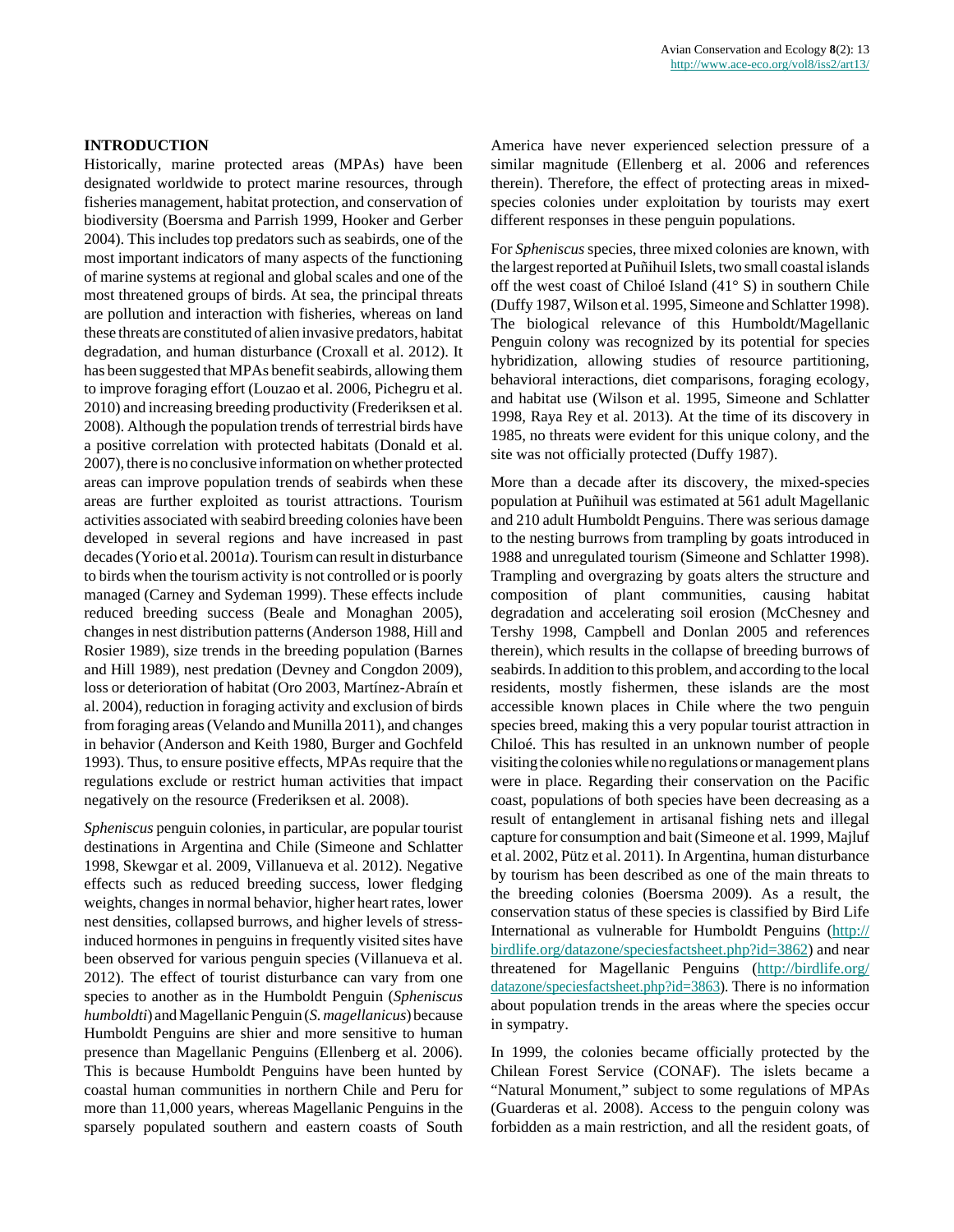### **INTRODUCTION**

Historically, marine protected areas (MPAs) have been designated worldwide to protect marine resources, through fisheries management, habitat protection, and conservation of biodiversity (Boersma and Parrish 1999, Hooker and Gerber 2004). This includes top predators such as seabirds, one of the most important indicators of many aspects of the functioning of marine systems at regional and global scales and one of the most threatened groups of birds. At sea, the principal threats are pollution and interaction with fisheries, whereas on land these threats are constituted of alien invasive predators, habitat degradation, and human disturbance (Croxall et al. 2012). It has been suggested that MPAs benefit seabirds, allowing them to improve foraging effort (Louzao et al. 2006, Pichegru et al. 2010) and increasing breeding productivity (Frederiksen et al. 2008). Although the population trends of terrestrial birds have a positive correlation with protected habitats (Donald et al. 2007), there is no conclusive information on whether protected areas can improve population trends of seabirds when these areas are further exploited as tourist attractions. Tourism activities associated with seabird breeding colonies have been developed in several regions and have increased in past decades (Yorio et al. 2001*a*). Tourism can result in disturbance to birds when the tourism activity is not controlled or is poorly managed (Carney and Sydeman 1999). These effects include reduced breeding success (Beale and Monaghan 2005), changes in nest distribution patterns (Anderson 1988, Hill and Rosier 1989), size trends in the breeding population (Barnes and Hill 1989), nest predation (Devney and Congdon 2009), loss or deterioration of habitat (Oro 2003, Martínez-Abraín et al. 2004), reduction in foraging activity and exclusion of birds from foraging areas (Velando and Munilla 2011), and changes in behavior (Anderson and Keith 1980, Burger and Gochfeld 1993). Thus, to ensure positive effects, MPAs require that the regulations exclude or restrict human activities that impact negatively on the resource (Frederiksen et al. 2008).

*Spheniscus* penguin colonies, in particular, are popular tourist destinations in Argentina and Chile (Simeone and Schlatter 1998, Skewgar et al. 2009, Villanueva et al. 2012). Negative effects such as reduced breeding success, lower fledging weights, changes in normal behavior, higher heart rates, lower nest densities, collapsed burrows, and higher levels of stressinduced hormones in penguins in frequently visited sites have been observed for various penguin species (Villanueva et al. 2012). The effect of tourist disturbance can vary from one species to another as in the Humboldt Penguin (*Spheniscus humboldti*) and Magellanic Penguin (*S. magellanicus*) because Humboldt Penguins are shier and more sensitive to human presence than Magellanic Penguins (Ellenberg et al. 2006). This is because Humboldt Penguins have been hunted by coastal human communities in northern Chile and Peru for more than 11,000 years, whereas Magellanic Penguins in the sparsely populated southern and eastern coasts of South America have never experienced selection pressure of a similar magnitude (Ellenberg et al. 2006 and references therein). Therefore, the effect of protecting areas in mixedspecies colonies under exploitation by tourists may exert different responses in these penguin populations.

For *Spheniscus* species, three mixed colonies are known, with the largest reported at Puñihuil Islets, two small coastal islands off the west coast of Chiloé Island (41° S) in southern Chile (Duffy 1987, Wilson et al. 1995, Simeone and Schlatter 1998). The biological relevance of this Humboldt/Magellanic Penguin colony was recognized by its potential for species hybridization, allowing studies of resource partitioning, behavioral interactions, diet comparisons, foraging ecology, and habitat use (Wilson et al. 1995, Simeone and Schlatter 1998, Raya Rey et al. 2013). At the time of its discovery in 1985, no threats were evident for this unique colony, and the site was not officially protected (Duffy 1987).

More than a decade after its discovery, the mixed-species population at Puñihuil was estimated at 561 adult Magellanic and 210 adult Humboldt Penguins. There was serious damage to the nesting burrows from trampling by goats introduced in 1988 and unregulated tourism (Simeone and Schlatter 1998). Trampling and overgrazing by goats alters the structure and composition of plant communities, causing habitat degradation and accelerating soil erosion (McChesney and Tershy 1998, Campbell and Donlan 2005 and references therein), which results in the collapse of breeding burrows of seabirds. In addition to this problem, and according to the local residents, mostly fishermen, these islands are the most accessible known places in Chile where the two penguin species breed, making this a very popular tourist attraction in Chiloé. This has resulted in an unknown number of people visiting the colonies while no regulations or management plans were in place. Regarding their conservation on the Pacific coast, populations of both species have been decreasing as a result of entanglement in artisanal fishing nets and illegal capture for consumption and bait (Simeone et al. 1999, Majluf et al. 2002, Pütz et al. 2011). In Argentina, human disturbance by tourism has been described as one of the main threats to the breeding colonies (Boersma 2009). As a result, the conservation status of these species is classified by Bird Life International as vulnerable for Humboldt Penguins [\(http://](http://birdlife.org/datazone/speciesfactsheet.php?id=3862) [birdlife.org/datazone/speciesfactsheet.php?id=3862\)](http://birdlife.org/datazone/speciesfactsheet.php?id=3862) and near threatened for Magellanic Penguins [\(http://birdlife.org/](http://birdlife.org/datazone/speciesfactsheet.php?id=3863) [datazone/speciesfactsheet.php?id=3863](http://birdlife.org/datazone/speciesfactsheet.php?id=3863)). There is no information about population trends in the areas where the species occur in sympatry.

In 1999, the colonies became officially protected by the Chilean Forest Service (CONAF). The islets became a "Natural Monument," subject to some regulations of MPAs (Guarderas et al. 2008). Access to the penguin colony was forbidden as a main restriction, and all the resident goats, of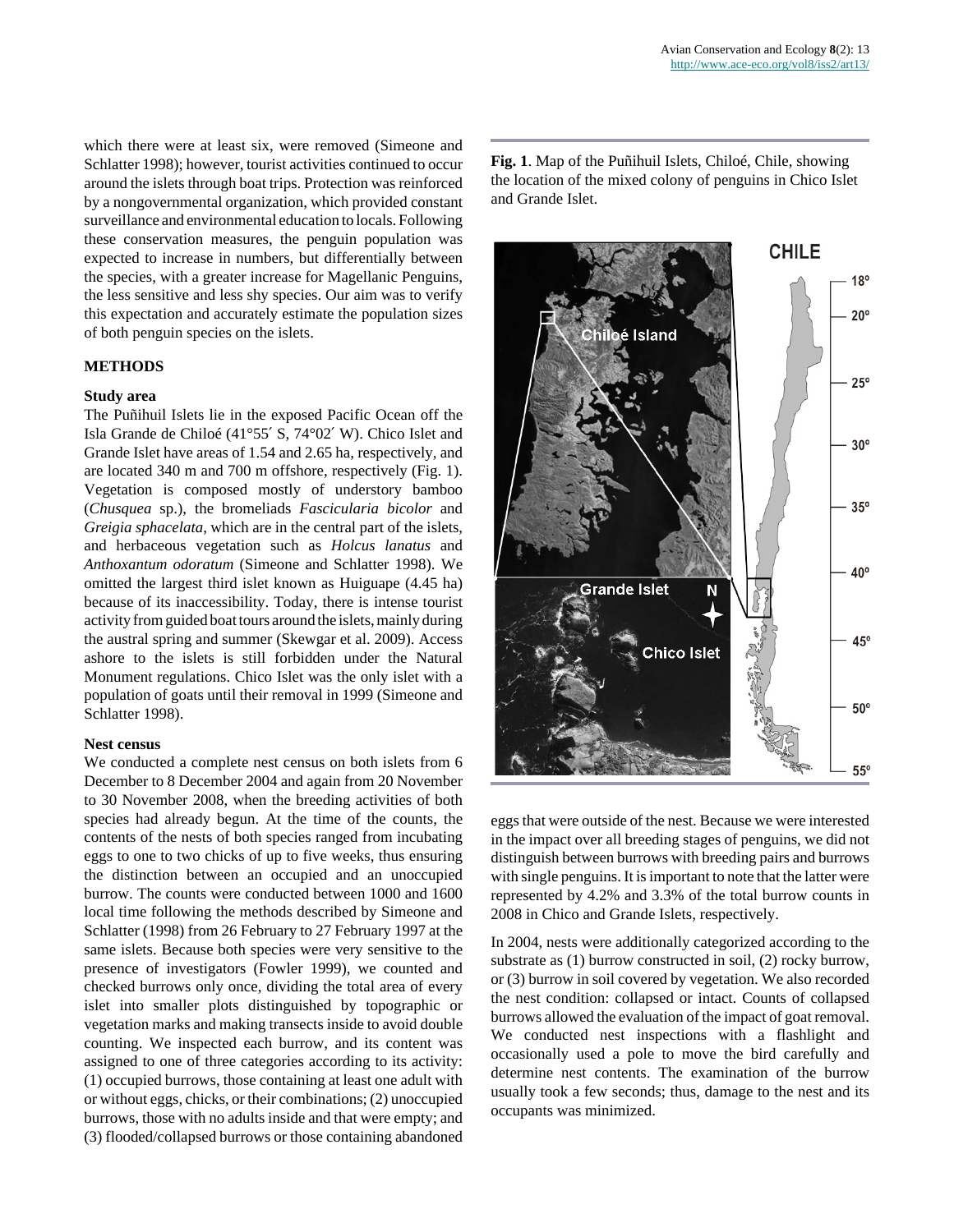which there were at least six, were removed (Simeone and Schlatter 1998); however, tourist activities continued to occur around the islets through boat trips. Protection was reinforced by a nongovernmental organization, which provided constant surveillance and environmental education to locals. Following these conservation measures, the penguin population was expected to increase in numbers, but differentially between the species, with a greater increase for Magellanic Penguins, the less sensitive and less shy species. Our aim was to verify this expectation and accurately estimate the population sizes of both penguin species on the islets.

## **METHODS**

#### **Study area**

The Puñihuil Islets lie in the exposed Pacific Ocean off the Isla Grande de Chiloé (41°55′ S, 74°02′ W). Chico Islet and Grande Islet have areas of 1.54 and 2.65 ha, respectively, and are located 340 m and 700 m offshore, respectively (Fig. 1). Vegetation is composed mostly of understory bamboo (*Chusquea* sp.), the bromeliads *Fascicularia bicolor* and *Greigia sphacelata*, which are in the central part of the islets, and herbaceous vegetation such as *Holcus lanatus* and *Anthoxantum odoratum* (Simeone and Schlatter 1998). We omitted the largest third islet known as Huiguape (4.45 ha) because of its inaccessibility. Today, there is intense tourist activity from guided boat tours around the islets, mainly during the austral spring and summer (Skewgar et al. 2009). Access ashore to the islets is still forbidden under the Natural Monument regulations. Chico Islet was the only islet with a population of goats until their removal in 1999 (Simeone and Schlatter 1998).

#### **Nest census**

We conducted a complete nest census on both islets from 6 December to 8 December 2004 and again from 20 November to 30 November 2008, when the breeding activities of both species had already begun. At the time of the counts, the contents of the nests of both species ranged from incubating eggs to one to two chicks of up to five weeks, thus ensuring the distinction between an occupied and an unoccupied burrow. The counts were conducted between 1000 and 1600 local time following the methods described by Simeone and Schlatter (1998) from 26 February to 27 February 1997 at the same islets. Because both species were very sensitive to the presence of investigators (Fowler 1999), we counted and checked burrows only once, dividing the total area of every islet into smaller plots distinguished by topographic or vegetation marks and making transects inside to avoid double counting. We inspected each burrow, and its content was assigned to one of three categories according to its activity: (1) occupied burrows, those containing at least one adult with or without eggs, chicks, or their combinations; (2) unoccupied burrows, those with no adults inside and that were empty; and (3) flooded/collapsed burrows or those containing abandoned **Fig. 1**. Map of the Puñihuil Islets, Chiloé, Chile, showing the location of the mixed colony of penguins in Chico Islet and Grande Islet.



eggs that were outside of the nest. Because we were interested in the impact over all breeding stages of penguins, we did not distinguish between burrows with breeding pairs and burrows with single penguins. It is important to note that the latter were represented by 4.2% and 3.3% of the total burrow counts in 2008 in Chico and Grande Islets, respectively.

In 2004, nests were additionally categorized according to the substrate as (1) burrow constructed in soil, (2) rocky burrow, or (3) burrow in soil covered by vegetation. We also recorded the nest condition: collapsed or intact. Counts of collapsed burrows allowed the evaluation of the impact of goat removal. We conducted nest inspections with a flashlight and occasionally used a pole to move the bird carefully and determine nest contents. The examination of the burrow usually took a few seconds; thus, damage to the nest and its occupants was minimized.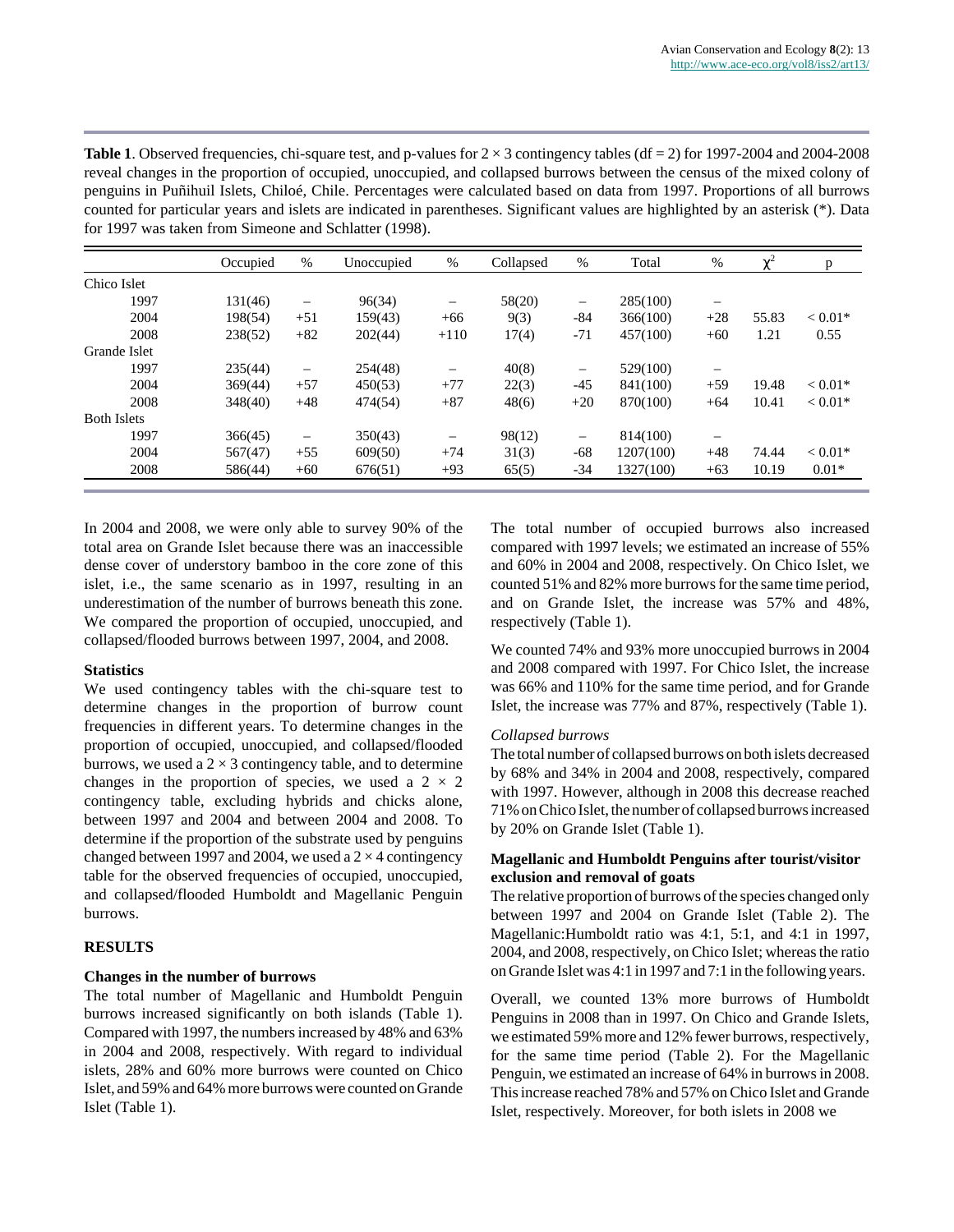**Table 1**. Observed frequencies, chi-square test, and p-values for  $2 \times 3$  contingency tables (df = 2) for 1997-2004 and 2004-2008 reveal changes in the proportion of occupied, unoccupied, and collapsed burrows between the census of the mixed colony of penguins in Puñihuil Islets, Chiloé, Chile. Percentages were calculated based on data from 1997. Proportions of all burrows counted for particular years and islets are indicated in parentheses. Significant values are highlighted by an asterisk (\*). Data for 1997 was taken from Simeone and Schlatter (1998).

|                    | Occupied | $\%$                     | Unoccupied | %                        | Collapsed | %                 | Total     | $\%$                     | $\mathsf{v}^\mathsf{\scriptscriptstyle L}$<br>v. |           |
|--------------------|----------|--------------------------|------------|--------------------------|-----------|-------------------|-----------|--------------------------|--------------------------------------------------|-----------|
| Chico Islet        |          |                          |            |                          |           |                   |           |                          |                                                  |           |
| 1997               | 131(46)  |                          | 96(34)     | $\qquad \qquad -$        | 58(20)    | $\qquad \qquad -$ | 285(100)  | $\equiv$                 |                                                  |           |
| 2004               | 198(54)  | $+51$                    | 159(43)    | $+66$                    | 9(3)      | $-84$             | 366(100)  | $+28$                    | 55.83                                            | $< 0.01*$ |
| 2008               | 238(52)  | $+82$                    | 202(44)    | $+110$                   | 17(4)     | $-71$             | 457(100)  | $+60$                    | 1.21                                             | 0.55      |
| Grande Islet       |          |                          |            |                          |           |                   |           |                          |                                                  |           |
| 1997               | 235(44)  | $\overline{\phantom{0}}$ | 254(48)    | $\overline{\phantom{0}}$ | 40(8)     | $\qquad \qquad -$ | 529(100)  | $\overline{\phantom{0}}$ |                                                  |           |
| 2004               | 369(44)  | $+57$                    | 450(53)    | $+77$                    | 22(3)     | $-45$             | 841(100)  | $+59$                    | 19.48                                            | $< 0.01*$ |
| 2008               | 348(40)  | $+48$                    | 474(54)    | $+87$                    | 48(6)     | $+20$             | 870(100)  | $+64$                    | 10.41                                            | $< 0.01*$ |
| <b>Both Islets</b> |          |                          |            |                          |           |                   |           |                          |                                                  |           |
| 1997               | 366(45)  | $\overline{\phantom{0}}$ | 350(43)    | $\overline{\phantom{0}}$ | 98(12)    | $\qquad \qquad$   | 814(100)  | $\equiv$                 |                                                  |           |
| 2004               | 567(47)  | $+55$                    | 609(50)    | $+74$                    | 31(3)     | $-68$             | 1207(100) | $+48$                    | 74.44                                            | $< 0.01*$ |
| 2008               | 586(44)  | $+60$                    | 676(51)    | $+93$                    | 65(5)     | $-34$             | 1327(100) | $+63$                    | 10.19                                            | $0.01*$   |

In 2004 and 2008, we were only able to survey 90% of the total area on Grande Islet because there was an inaccessible dense cover of understory bamboo in the core zone of this islet, i.e., the same scenario as in 1997, resulting in an underestimation of the number of burrows beneath this zone. We compared the proportion of occupied, unoccupied, and collapsed/flooded burrows between 1997, 2004, and 2008.

#### **Statistics**

We used contingency tables with the chi-square test to determine changes in the proportion of burrow count frequencies in different years. To determine changes in the proportion of occupied, unoccupied, and collapsed/flooded burrows, we used a  $2 \times 3$  contingency table, and to determine changes in the proportion of species, we used a  $2 \times 2$ contingency table, excluding hybrids and chicks alone, between 1997 and 2004 and between 2004 and 2008. To determine if the proportion of the substrate used by penguins changed between 1997 and 2004, we used a  $2 \times 4$  contingency table for the observed frequencies of occupied, unoccupied, and collapsed/flooded Humboldt and Magellanic Penguin burrows.

## **RESULTS**

## **Changes in the number of burrows**

The total number of Magellanic and Humboldt Penguin burrows increased significantly on both islands (Table 1). Compared with 1997, the numbers increased by 48% and 63% in 2004 and 2008, respectively. With regard to individual islets, 28% and 60% more burrows were counted on Chico Islet, and 59% and 64% more burrows were counted on Grande Islet (Table 1).

The total number of occupied burrows also increased compared with 1997 levels; we estimated an increase of 55% and 60% in 2004 and 2008, respectively. On Chico Islet, we counted 51% and 82% more burrows for the same time period, and on Grande Islet, the increase was 57% and 48%, respectively (Table 1).

We counted 74% and 93% more unoccupied burrows in 2004 and 2008 compared with 1997. For Chico Islet, the increase was 66% and 110% for the same time period, and for Grande Islet, the increase was 77% and 87%, respectively (Table 1).

## *Collapsed burrows*

The total number of collapsed burrows on both islets decreased by 68% and 34% in 2004 and 2008, respectively, compared with 1997. However, although in 2008 this decrease reached 71% on Chico Islet, the number of collapsed burrows increased by 20% on Grande Islet (Table 1).

## **Magellanic and Humboldt Penguins after tourist/visitor exclusion and removal of goats**

The relative proportion of burrows of the species changed only between 1997 and 2004 on Grande Islet (Table 2). The Magellanic:Humboldt ratio was 4:1, 5:1, and 4:1 in 1997, 2004, and 2008, respectively, on Chico Islet; whereas the ratio on Grande Islet was 4:1 in 1997 and 7:1 in the following years.

Overall, we counted 13% more burrows of Humboldt Penguins in 2008 than in 1997. On Chico and Grande Islets, we estimated 59% more and 12% fewer burrows, respectively, for the same time period (Table 2). For the Magellanic Penguin, we estimated an increase of 64% in burrows in 2008. This increase reached 78% and 57% on Chico Islet and Grande Islet, respectively. Moreover, for both islets in 2008 we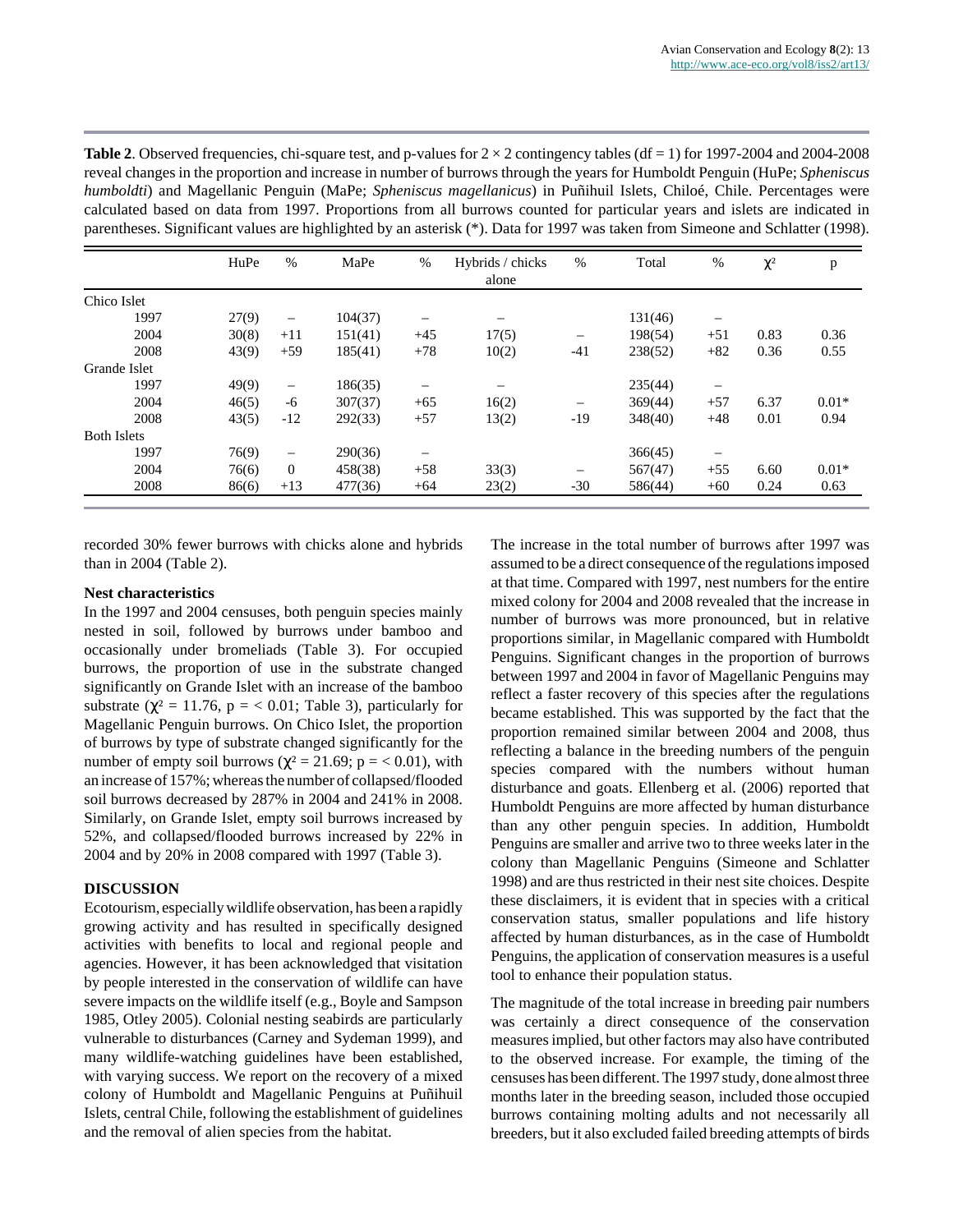**Table 2**. Observed frequencies, chi-square test, and p-values for  $2 \times 2$  contingency tables (df = 1) for 1997-2004 and 2004-2008 reveal changes in the proportion and increase in number of burrows through the years for Humboldt Penguin (HuPe; *Spheniscus humboldti*) and Magellanic Penguin (MaPe; *Spheniscus magellanicus*) in Puñihuil Islets, Chiloé, Chile. Percentages were calculated based on data from 1997. Proportions from all burrows counted for particular years and islets are indicated in parentheses. Significant values are highlighted by an asterisk (\*). Data for 1997 was taken from Simeone and Schlatter (1998).

|                    | HuPe  | $\%$                     | MaPe    | $\%$                     | Hybrids / chicks<br>alone | $\%$              | Total   | %                        | $\chi^2$ | p       |
|--------------------|-------|--------------------------|---------|--------------------------|---------------------------|-------------------|---------|--------------------------|----------|---------|
| Chico Islet        |       |                          |         |                          |                           |                   |         |                          |          |         |
| 1997               | 27(9) | $\overline{\phantom{m}}$ | 104(37) |                          |                           |                   | 131(46) |                          |          |         |
| 2004               | 30(8) | $+11$                    | 151(41) | $+45$                    | 17(5)                     | $\qquad \qquad -$ | 198(54) | $+51$                    | 0.83     | 0.36    |
| 2008               | 43(9) | $+59$                    | 185(41) | $+78$                    | 10(2)                     | $-41$             | 238(52) | $+82$                    | 0.36     | 0.55    |
| Grande Islet       |       |                          |         |                          |                           |                   |         |                          |          |         |
| 1997               | 49(9) | -                        | 186(35) | $\overline{\phantom{m}}$ |                           |                   | 235(44) | $\overline{\phantom{m}}$ |          |         |
| 2004               | 46(5) | -6                       | 307(37) | $+65$                    | 16(2)                     | $\qquad \qquad -$ | 369(44) | $+57$                    | 6.37     | $0.01*$ |
| 2008               | 43(5) | $-12$                    | 292(33) | $+57$                    | 13(2)                     | $-19$             | 348(40) | $+48$                    | 0.01     | 0.94    |
| <b>Both Islets</b> |       |                          |         |                          |                           |                   |         |                          |          |         |
| 1997               | 76(9) | -                        | 290(36) | $\qquad \qquad -$        |                           |                   | 366(45) | $\qquad \qquad -$        |          |         |
| 2004               | 76(6) | $\theta$                 | 458(38) | $+58$                    | 33(3)                     | $\qquad \qquad$   | 567(47) | $+55$                    | 6.60     | $0.01*$ |
| 2008               | 86(6) | $+13$                    | 477(36) | $+64$                    | 23(2)                     | $-30$             | 586(44) | $+60$                    | 0.24     | 0.63    |

recorded 30% fewer burrows with chicks alone and hybrids than in 2004 (Table 2).

#### **Nest characteristics**

In the 1997 and 2004 censuses, both penguin species mainly nested in soil, followed by burrows under bamboo and occasionally under bromeliads (Table 3). For occupied burrows, the proportion of use in the substrate changed significantly on Grande Islet with an increase of the bamboo substrate ( $\chi^2 = 11.76$ ,  $p = < 0.01$ ; Table 3), particularly for Magellanic Penguin burrows. On Chico Islet, the proportion of burrows by type of substrate changed significantly for the number of empty soil burrows ( $\chi^2 = 21.69$ ; p = < 0.01), with an increase of 157%; whereas the number of collapsed/flooded soil burrows decreased by 287% in 2004 and 241% in 2008. Similarly, on Grande Islet, empty soil burrows increased by 52%, and collapsed/flooded burrows increased by 22% in 2004 and by 20% in 2008 compared with 1997 (Table 3).

#### **DISCUSSION**

Ecotourism, especially wildlife observation, has been a rapidly growing activity and has resulted in specifically designed activities with benefits to local and regional people and agencies. However, it has been acknowledged that visitation by people interested in the conservation of wildlife can have severe impacts on the wildlife itself (e.g., Boyle and Sampson 1985, Otley 2005). Colonial nesting seabirds are particularly vulnerable to disturbances (Carney and Sydeman 1999), and many wildlife-watching guidelines have been established, with varying success. We report on the recovery of a mixed colony of Humboldt and Magellanic Penguins at Puñihuil Islets, central Chile, following the establishment of guidelines and the removal of alien species from the habitat.

The increase in the total number of burrows after 1997 was assumed to be a direct consequence of the regulations imposed at that time. Compared with 1997, nest numbers for the entire mixed colony for 2004 and 2008 revealed that the increase in number of burrows was more pronounced, but in relative proportions similar, in Magellanic compared with Humboldt Penguins. Significant changes in the proportion of burrows between 1997 and 2004 in favor of Magellanic Penguins may reflect a faster recovery of this species after the regulations became established. This was supported by the fact that the proportion remained similar between 2004 and 2008, thus reflecting a balance in the breeding numbers of the penguin species compared with the numbers without human disturbance and goats. Ellenberg et al. (2006) reported that Humboldt Penguins are more affected by human disturbance than any other penguin species. In addition, Humboldt Penguins are smaller and arrive two to three weeks later in the colony than Magellanic Penguins (Simeone and Schlatter 1998) and are thus restricted in their nest site choices. Despite these disclaimers, it is evident that in species with a critical conservation status, smaller populations and life history affected by human disturbances, as in the case of Humboldt Penguins, the application of conservation measures is a useful tool to enhance their population status.

The magnitude of the total increase in breeding pair numbers was certainly a direct consequence of the conservation measures implied, but other factors may also have contributed to the observed increase. For example, the timing of the censuses has been different. The 1997 study, done almost three months later in the breeding season, included those occupied burrows containing molting adults and not necessarily all breeders, but it also excluded failed breeding attempts of birds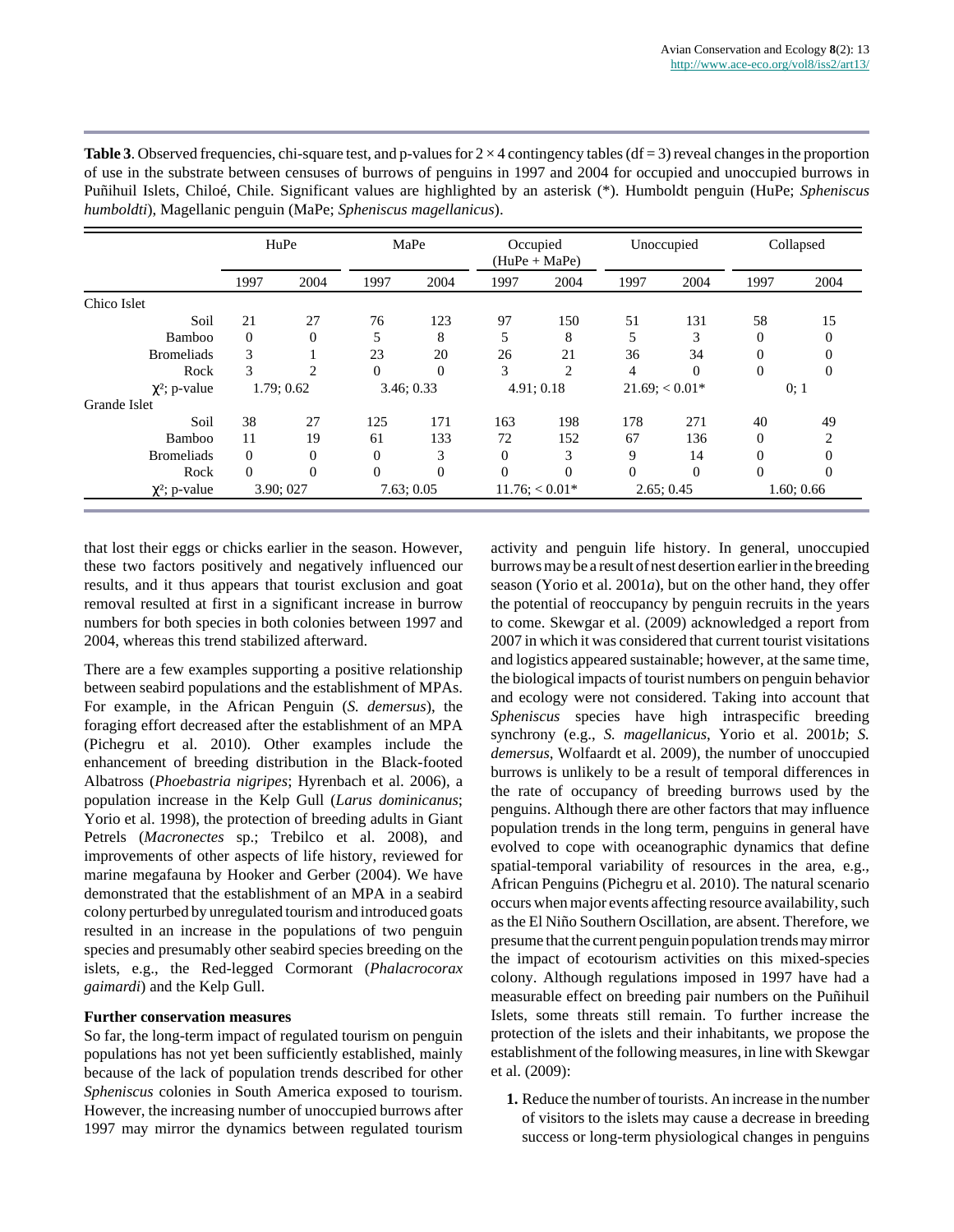|                    | HuPe          |                                                                                                                                                                                                                                                                                                                                                                                                             | MaPe       |           | Occupied<br>$(HuPe + MaPe)$ |                | Unoccupied          |          | Collapsed    |      |
|--------------------|---------------|-------------------------------------------------------------------------------------------------------------------------------------------------------------------------------------------------------------------------------------------------------------------------------------------------------------------------------------------------------------------------------------------------------------|------------|-----------|-----------------------------|----------------|---------------------|----------|--------------|------|
|                    | 1997          | 2004                                                                                                                                                                                                                                                                                                                                                                                                        | 1997       | 2004      | 1997                        | 2004           | 1997                | 2004     | 1997         | 2004 |
| Chico Islet        |               |                                                                                                                                                                                                                                                                                                                                                                                                             |            |           |                             |                |                     |          |              |      |
| Soil               | 21            | 27                                                                                                                                                                                                                                                                                                                                                                                                          | 76         | 123       | 97                          | 150            | 51                  | 131      | 58           | 15   |
| Bamboo             | $\Omega$      | $\Omega$                                                                                                                                                                                                                                                                                                                                                                                                    |            | 8         |                             | 8              |                     | 3        | $\mathbf{0}$ |      |
| <b>Bromeliads</b>  | 3             |                                                                                                                                                                                                                                                                                                                                                                                                             | 23         | 20        | 26                          | 21             | 36                  | 34       | $\Omega$     |      |
| Rock               | $\mathcal{F}$ | $\mathfrak{D}_{1}^{(1)} = \mathfrak{D}_{2}^{(1)} = \mathfrak{D}_{2}^{(1)} = \mathfrak{D}_{2}^{(1)} = \mathfrak{D}_{2}^{(1)} = \mathfrak{D}_{2}^{(1)} = \mathfrak{D}_{2}^{(1)} = \mathfrak{D}_{2}^{(1)} = \mathfrak{D}_{2}^{(1)} = \mathfrak{D}_{2}^{(1)} = \mathfrak{D}_{2}^{(1)} = \mathfrak{D}_{2}^{(1)} = \mathfrak{D}_{2}^{(1)} = \mathfrak{D}_{2}^{(1)} = \mathfrak{D}_{2}^{(1)} = \mathfrak{D}_{2}^{$ | $\Omega$   | $\Omega$  | 3                           | $\overline{c}$ | 4                   | $\theta$ | $\Omega$     |      |
| $\chi^2$ ; p-value | 1.79:0.62     |                                                                                                                                                                                                                                                                                                                                                                                                             | 3.46; 0.33 |           | 4.91:0.18                   |                | $21.69$ ; < $0.01*$ |          | 0; 1         |      |
| Grande Islet       |               |                                                                                                                                                                                                                                                                                                                                                                                                             |            |           |                             |                |                     |          |              |      |
| Soil               | 38            | 27                                                                                                                                                                                                                                                                                                                                                                                                          | 125        | 171       | 163                         | 198            | 178                 | 271      | 40           | 49   |
| Bamboo             | 11            | 19                                                                                                                                                                                                                                                                                                                                                                                                          | 61         | 133       | 72                          | 152            | 67                  | 136      | $\mathbf{0}$ | 2    |
| <b>Bromeliads</b>  | $\Omega$      | $\Omega$                                                                                                                                                                                                                                                                                                                                                                                                    | $\Omega$   | 3         | $\overline{0}$              | 3              | 9                   | 14       | $\Omega$     |      |
| Rock               | $\Omega$      | $\Omega$                                                                                                                                                                                                                                                                                                                                                                                                    |            | $\theta$  | $\theta$                    | 0              | $\overline{0}$      | $\theta$ | $\Omega$     |      |
| $\chi^2$ ; p-value | 3.90; 027     |                                                                                                                                                                                                                                                                                                                                                                                                             |            | 7.63:0.05 | $11.76$ ; < $0.01*$         |                | 2.65:0.45           |          | 1.60; 0.66   |      |

**Table 3**. Observed frequencies, chi-square test, and p-values for  $2 \times 4$  contingency tables (df = 3) reveal changes in the proportion of use in the substrate between censuses of burrows of penguins in 1997 and 2004 for occupied and unoccupied burrows in Puñihuil Islets, Chiloé, Chile. Significant values are highlighted by an asterisk (\*). Humboldt penguin (HuPe; *Spheniscus humboldti*), Magellanic penguin (MaPe; *Spheniscus magellanicus*).

that lost their eggs or chicks earlier in the season. However, these two factors positively and negatively influenced our results, and it thus appears that tourist exclusion and goat removal resulted at first in a significant increase in burrow numbers for both species in both colonies between 1997 and 2004, whereas this trend stabilized afterward.

There are a few examples supporting a positive relationship between seabird populations and the establishment of MPAs. For example, in the African Penguin (*S. demersus*), the foraging effort decreased after the establishment of an MPA (Pichegru et al. 2010). Other examples include the enhancement of breeding distribution in the Black-footed Albatross (*Phoebastria nigripes*; Hyrenbach et al. 2006), a population increase in the Kelp Gull (*Larus dominicanus*; Yorio et al. 1998), the protection of breeding adults in Giant Petrels (*Macronectes* sp.; Trebilco et al. 2008), and improvements of other aspects of life history, reviewed for marine megafauna by Hooker and Gerber (2004). We have demonstrated that the establishment of an MPA in a seabird colony perturbed by unregulated tourism and introduced goats resulted in an increase in the populations of two penguin species and presumably other seabird species breeding on the islets, e.g., the Red-legged Cormorant (*Phalacrocorax gaimardi*) and the Kelp Gull.

## **Further conservation measures**

So far, the long-term impact of regulated tourism on penguin populations has not yet been sufficiently established, mainly because of the lack of population trends described for other *Spheniscus* colonies in South America exposed to tourism. However, the increasing number of unoccupied burrows after 1997 may mirror the dynamics between regulated tourism activity and penguin life history. In general, unoccupied burrows may be a result of nest desertion earlier in the breeding season (Yorio et al. 2001*a*), but on the other hand, they offer the potential of reoccupancy by penguin recruits in the years to come. Skewgar et al. (2009) acknowledged a report from 2007 in which it was considered that current tourist visitations and logistics appeared sustainable; however, at the same time, the biological impacts of tourist numbers on penguin behavior and ecology were not considered. Taking into account that *Spheniscus* species have high intraspecific breeding synchrony (e.g., *S. magellanicus*, Yorio et al. 2001*b*; *S. demersus*, Wolfaardt et al. 2009), the number of unoccupied burrows is unlikely to be a result of temporal differences in the rate of occupancy of breeding burrows used by the penguins. Although there are other factors that may influence population trends in the long term, penguins in general have evolved to cope with oceanographic dynamics that define spatial-temporal variability of resources in the area, e.g., African Penguins (Pichegru et al. 2010). The natural scenario occurs when major events affecting resource availability, such as the El Niño Southern Oscillation, are absent. Therefore, we presume that the current penguin population trends may mirror the impact of ecotourism activities on this mixed-species colony. Although regulations imposed in 1997 have had a measurable effect on breeding pair numbers on the Puñihuil Islets, some threats still remain. To further increase the protection of the islets and their inhabitants, we propose the establishment of the following measures, in line with Skewgar et al. (2009):

**1.** Reduce the number of tourists. An increase in the number of visitors to the islets may cause a decrease in breeding success or long-term physiological changes in penguins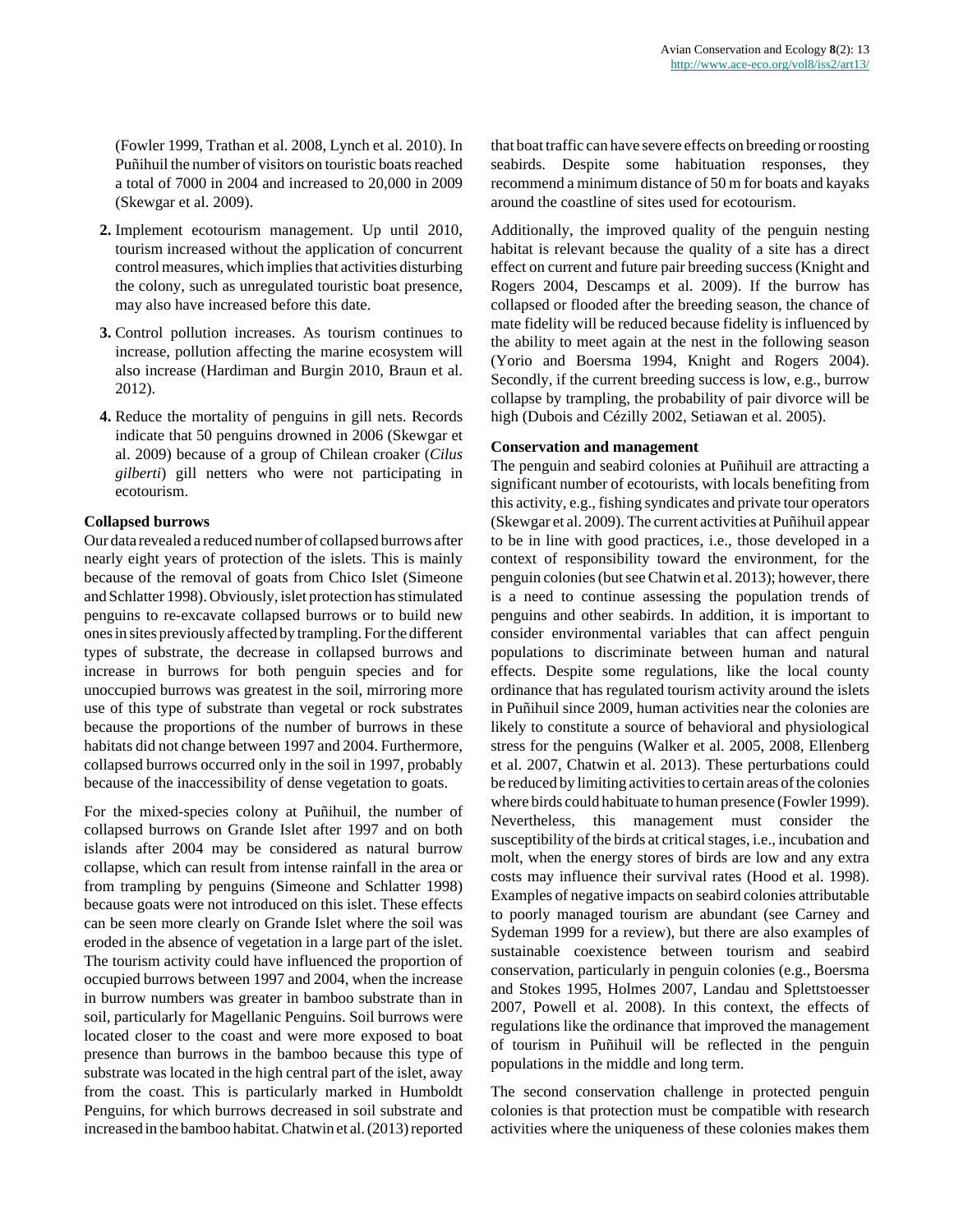(Fowler 1999, Trathan et al. 2008, Lynch et al. 2010). In Puñihuil the number of visitors on touristic boats reached a total of 7000 in 2004 and increased to 20,000 in 2009 (Skewgar et al. 2009).

- **2.** Implement ecotourism management. Up until 2010, tourism increased without the application of concurrent control measures, which implies that activities disturbing the colony, such as unregulated touristic boat presence, may also have increased before this date.
- **3.** Control pollution increases. As tourism continues to increase, pollution affecting the marine ecosystem will also increase (Hardiman and Burgin 2010, Braun et al. 2012).
- **4.** Reduce the mortality of penguins in gill nets. Records indicate that 50 penguins drowned in 2006 (Skewgar et al. 2009) because of a group of Chilean croaker (*Cilus gilberti*) gill netters who were not participating in ecotourism.

## **Collapsed burrows**

Our data revealed a reduced number of collapsed burrows after nearly eight years of protection of the islets. This is mainly because of the removal of goats from Chico Islet (Simeone and Schlatter 1998). Obviously, islet protection has stimulated penguins to re-excavate collapsed burrows or to build new ones in sites previously affected by trampling. For the different types of substrate, the decrease in collapsed burrows and increase in burrows for both penguin species and for unoccupied burrows was greatest in the soil, mirroring more use of this type of substrate than vegetal or rock substrates because the proportions of the number of burrows in these habitats did not change between 1997 and 2004. Furthermore, collapsed burrows occurred only in the soil in 1997, probably because of the inaccessibility of dense vegetation to goats.

For the mixed-species colony at Puñihuil, the number of collapsed burrows on Grande Islet after 1997 and on both islands after 2004 may be considered as natural burrow collapse, which can result from intense rainfall in the area or from trampling by penguins (Simeone and Schlatter 1998) because goats were not introduced on this islet. These effects can be seen more clearly on Grande Islet where the soil was eroded in the absence of vegetation in a large part of the islet. The tourism activity could have influenced the proportion of occupied burrows between 1997 and 2004, when the increase in burrow numbers was greater in bamboo substrate than in soil, particularly for Magellanic Penguins. Soil burrows were located closer to the coast and were more exposed to boat presence than burrows in the bamboo because this type of substrate was located in the high central part of the islet, away from the coast. This is particularly marked in Humboldt Penguins, for which burrows decreased in soil substrate and increased in the bamboo habitat. Chatwin et al. (2013) reported that boat traffic can have severe effects on breeding or roosting seabirds. Despite some habituation responses, they recommend a minimum distance of 50 m for boats and kayaks around the coastline of sites used for ecotourism.

Additionally, the improved quality of the penguin nesting habitat is relevant because the quality of a site has a direct effect on current and future pair breeding success (Knight and Rogers 2004, Descamps et al. 2009). If the burrow has collapsed or flooded after the breeding season, the chance of mate fidelity will be reduced because fidelity is influenced by the ability to meet again at the nest in the following season (Yorio and Boersma 1994, Knight and Rogers 2004). Secondly, if the current breeding success is low, e.g., burrow collapse by trampling, the probability of pair divorce will be high (Dubois and Cézilly 2002, Setiawan et al. 2005).

## **Conservation and management**

The penguin and seabird colonies at Puñihuil are attracting a significant number of ecotourists, with locals benefiting from this activity, e.g., fishing syndicates and private tour operators (Skewgar et al. 2009). The current activities at Puñihuil appear to be in line with good practices, i.e., those developed in a context of responsibility toward the environment, for the penguin colonies (but see Chatwin et al. 2013); however, there is a need to continue assessing the population trends of penguins and other seabirds. In addition, it is important to consider environmental variables that can affect penguin populations to discriminate between human and natural effects. Despite some regulations, like the local county ordinance that has regulated tourism activity around the islets in Puñihuil since 2009, human activities near the colonies are likely to constitute a source of behavioral and physiological stress for the penguins (Walker et al. 2005, 2008, Ellenberg et al. 2007, Chatwin et al. 2013). These perturbations could be reduced by limiting activities to certain areas of the colonies where birds could habituate to human presence (Fowler 1999). Nevertheless, this management must consider the susceptibility of the birds at critical stages, i.e., incubation and molt, when the energy stores of birds are low and any extra costs may influence their survival rates (Hood et al. 1998). Examples of negative impacts on seabird colonies attributable to poorly managed tourism are abundant (see Carney and Sydeman 1999 for a review), but there are also examples of sustainable coexistence between tourism and seabird conservation, particularly in penguin colonies (e.g., Boersma and Stokes 1995, Holmes 2007, Landau and Splettstoesser 2007, Powell et al. 2008). In this context, the effects of regulations like the ordinance that improved the management of tourism in Puñihuil will be reflected in the penguin populations in the middle and long term.

The second conservation challenge in protected penguin colonies is that protection must be compatible with research activities where the uniqueness of these colonies makes them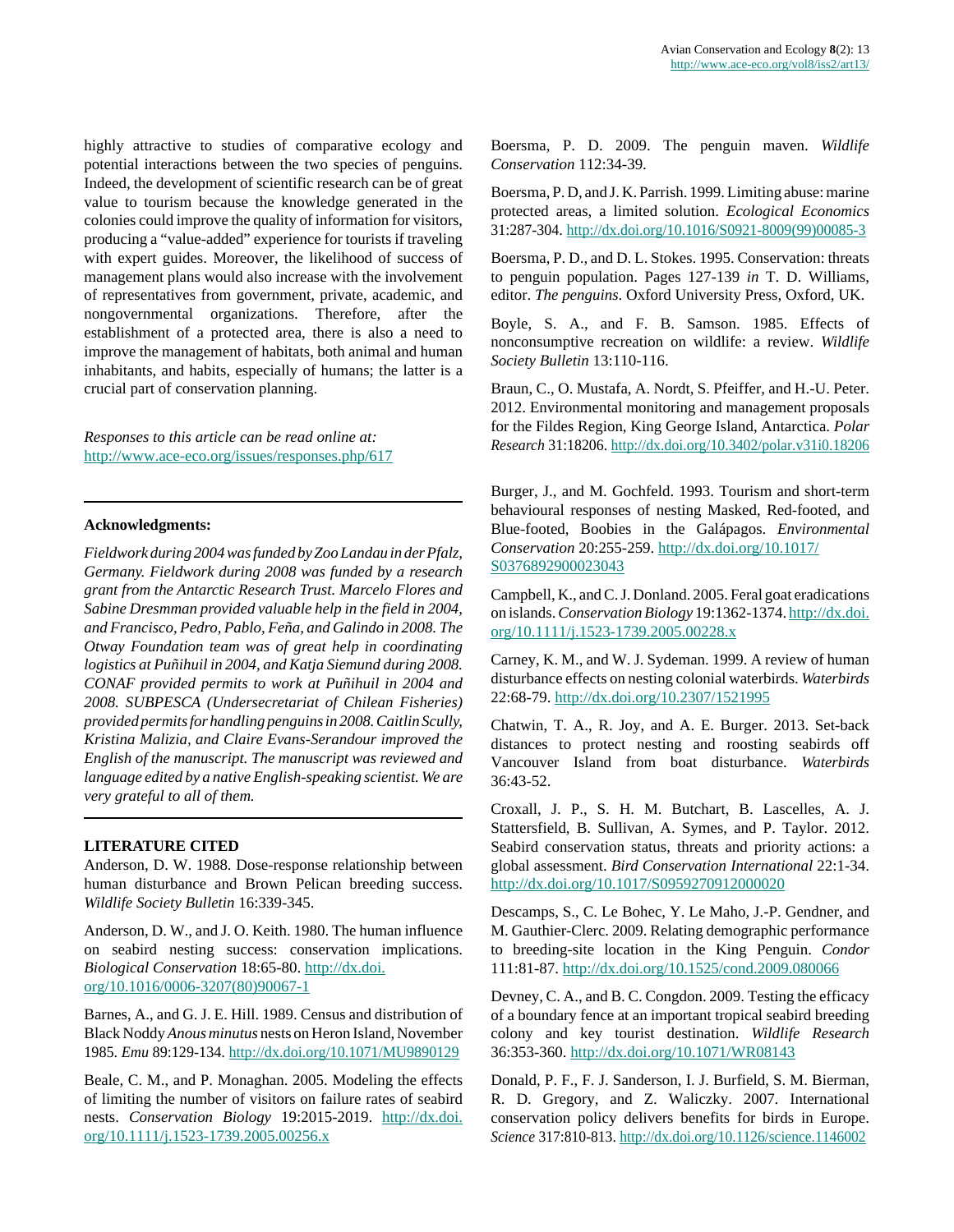highly attractive to studies of comparative ecology and potential interactions between the two species of penguins. Indeed, the development of scientific research can be of great value to tourism because the knowledge generated in the colonies could improve the quality of information for visitors, producing a "value-added" experience for tourists if traveling with expert guides. Moreover, the likelihood of success of management plans would also increase with the involvement of representatives from government, private, academic, and nongovernmental organizations. Therefore, after the establishment of a protected area, there is also a need to improve the management of habitats, both animal and human inhabitants, and habits, especially of humans; the latter is a crucial part of conservation planning.

*Responses to this article can be read online at:* <http://www.ace-eco.org/issues/responses.php/617>

## **Acknowledgments:**

*Fieldwork during 2004 was funded by Zoo Landau in der Pfalz, Germany. Fieldwork during 2008 was funded by a research grant from the Antarctic Research Trust. Marcelo Flores and Sabine Dresmman provided valuable help in the field in 2004, and Francisco, Pedro, Pablo, Feña, and Galindo in 2008. The Otway Foundation team was of great help in coordinating logistics at Puñihuil in 2004, and Katja Siemund during 2008. CONAF provided permits to work at Puñihuil in 2004 and 2008. SUBPESCA (Undersecretariat of Chilean Fisheries) provided permits for handling penguins in 2008. Caitlin Scully, Kristina Malizia, and Claire Evans-Serandour improved the English of the manuscript. The manuscript was reviewed and language edited by a native English-speaking scientist. We are very grateful to all of them.*

## **LITERATURE CITED**

Anderson, D. W. 1988. Dose-response relationship between human disturbance and Brown Pelican breeding success. *Wildlife Society Bulletin* 16:339-345.

Anderson, D. W., and J. O. Keith. 1980. The human influence on seabird nesting success: conservation implications. *Biological Conservation* 18:65-80. [http://dx.doi.](http://dx.doi.org/10.1016/0006-3207(80)90067-1) [org/10.1016/0006-3207\(80\)90067-1](http://dx.doi.org/10.1016/0006-3207(80)90067-1)

Barnes, A., and G. J. E. Hill. 1989. Census and distribution of Black Noddy *Anous minutus* nests on Heron Island, November 1985. *Emu* 89:129-134. <http://dx.doi.org/10.1071/MU9890129>

Beale, C. M., and P. Monaghan. 2005. Modeling the effects of limiting the number of visitors on failure rates of seabird nests. *Conservation Biology* 19:2015-2019. [http://dx.doi.](http://dx.doi.org/10.1111/j.1523-1739.2005.00256.x) [org/10.1111/j.1523-1739.2005.00256.x](http://dx.doi.org/10.1111/j.1523-1739.2005.00256.x)

Boersma, P. D. 2009. The penguin maven. *Wildlife Conservation* 112:34-39.

Boersma, P. D, and J. K. Parrish. 1999. Limiting abuse: marine protected areas, a limited solution. *Ecological Economics* 31:287-304. [http://dx.doi.org/10.1016/S0921-8009\(99\)00085-3](http://dx.doi.org/10.1016/S0921-8009(99)00085-3)

Boersma, P. D., and D. L. Stokes. 1995. Conservation: threats to penguin population. Pages 127-139 *in* T. D. Williams, editor. *The penguins*. Oxford University Press, Oxford, UK.

Boyle, S. A., and F. B. Samson. 1985. Effects of nonconsumptive recreation on wildlife: a review. *Wildlife Society Bulletin* 13:110-116.

Braun, C., O. Mustafa, A. Nordt, S. Pfeiffer, and H.-U. Peter. 2012. Environmental monitoring and management proposals for the Fildes Region, King George Island, Antarctica. *Polar Research* 31:18206.<http://dx.doi.org/10.3402/polar.v31i0.18206>

Burger, J., and M. Gochfeld. 1993. Tourism and short-term behavioural responses of nesting Masked, Red-footed, and Blue-footed, Boobies in the Galápagos. *Environmental Conservation* 20:255-259. [http://dx.doi.org/10.1017/](http://dx.doi.org/10.1017/S0376892900023043) [S0376892900023043](http://dx.doi.org/10.1017/S0376892900023043)

Campbell, K., and C. J. Donland. 2005. Feral goat eradications on islands. *Conservation Biology* 19:1362-1374. [http://dx.doi.](http://dx.doi.org/10.1111/j.1523-1739.2005.00228.x) [org/10.1111/j.1523-1739.2005.00228.x](http://dx.doi.org/10.1111/j.1523-1739.2005.00228.x)

Carney, K. M., and W. J. Sydeman. 1999. A review of human disturbance effects on nesting colonial waterbirds. *Waterbirds* 22:68-79.<http://dx.doi.org/10.2307/1521995>

Chatwin, T. A., R. Joy, and A. E. Burger. 2013. Set-back distances to protect nesting and roosting seabirds off Vancouver Island from boat disturbance. *Waterbirds* 36:43-52.

Croxall, J. P., S. H. M. Butchart, B. Lascelles, A. J. Stattersfield, B. Sullivan, A. Symes, and P. Taylor. 2012. Seabird conservation status, threats and priority actions: a global assessment. *Bird Conservation International* 22:1-34. <http://dx.doi.org/10.1017/S0959270912000020>

Descamps, S., C. Le Bohec, Y. Le Maho, J.-P. Gendner, and M. Gauthier-Clerc. 2009. Relating demographic performance to breeding-site location in the King Penguin. *Condor* 111:81-87.<http://dx.doi.org/10.1525/cond.2009.080066>

Devney, C. A., and B. C. Congdon. 2009. Testing the efficacy of a boundary fence at an important tropical seabird breeding colony and key tourist destination. *Wildlife Research* 36:353-360.<http://dx.doi.org/10.1071/WR08143>

Donald, P. F., F. J. Sanderson, I. J. Burfield, S. M. Bierman, R. D. Gregory, and Z. Waliczky. 2007. International conservation policy delivers benefits for birds in Europe. *Science* 317:810-813. <http://dx.doi.org/10.1126/science.1146002>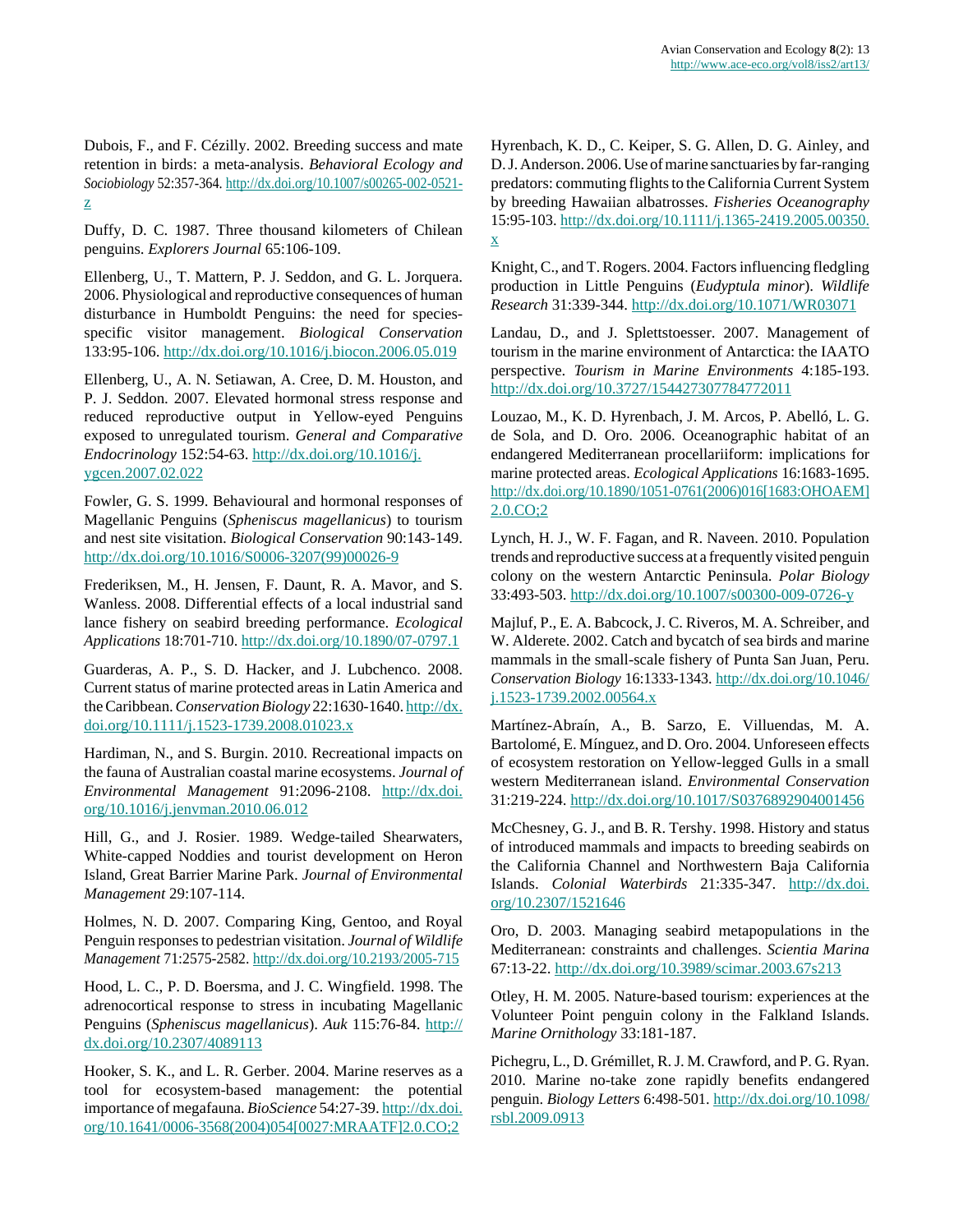Dubois, F., and F. Cézilly. 2002. Breeding success and mate retention in birds: a meta-analysis. *Behavioral Ecology and Sociobiology* 52:357-364. [http://dx.doi.org/10.1007/s00265-002-0521](http://dx.doi.org/10.1007/s00265-002-0521-z) [z](http://dx.doi.org/10.1007/s00265-002-0521-z)

Duffy, D. C. 1987. Three thousand kilometers of Chilean penguins. *Explorers Journal* 65:106-109.

Ellenberg, U., T. Mattern, P. J. Seddon, and G. L. Jorquera. 2006. Physiological and reproductive consequences of human disturbance in Humboldt Penguins: the need for speciesspecific visitor management. *Biological Conservation* 133:95-106.<http://dx.doi.org/10.1016/j.biocon.2006.05.019>

Ellenberg, U., A. N. Setiawan, A. Cree, D. M. Houston, and P. J. Seddon. 2007. Elevated hormonal stress response and reduced reproductive output in Yellow-eyed Penguins exposed to unregulated tourism. *General and Comparative Endocrinology* 152:54-63. [http://dx.doi.org/10.1016/j.](http://dx.doi.org/10.1016/j.ygcen.2007.02.022) [ygcen.2007.02.022](http://dx.doi.org/10.1016/j.ygcen.2007.02.022)

Fowler, G. S. 1999. Behavioural and hormonal responses of Magellanic Penguins (*Spheniscus magellanicus*) to tourism and nest site visitation. *Biological Conservation* 90:143-149. [http://dx.doi.org/10.1016/S0006-3207\(99\)00026-9](http://dx.doi.org/10.1016/S0006-3207(99)00026-9)

Frederiksen, M., H. Jensen, F. Daunt, R. A. Mavor, and S. Wanless. 2008. Differential effects of a local industrial sand lance fishery on seabird breeding performance. *Ecological Applications* 18:701-710.<http://dx.doi.org/10.1890/07-0797.1>

Guarderas, A. P., S. D. Hacker, and J. Lubchenco. 2008. Current status of marine protected areas in Latin America and the Caribbean. *Conservation Biology* 22:1630-1640. [http://dx.](http://dx.doi.org/10.1111/j.1523-1739.2008.01023.x) [doi.org/10.1111/j.1523-1739.2008.01023.x](http://dx.doi.org/10.1111/j.1523-1739.2008.01023.x)

Hardiman, N., and S. Burgin. 2010. Recreational impacts on the fauna of Australian coastal marine ecosystems. *Journal of Environmental Management* 91:2096-2108. [http://dx.doi.](http://dx.doi.org/10.1016/j.jenvman.2010.06.012) [org/10.1016/j.jenvman.2010.06.012](http://dx.doi.org/10.1016/j.jenvman.2010.06.012)

Hill, G., and J. Rosier. 1989. Wedge-tailed Shearwaters, White-capped Noddies and tourist development on Heron Island, Great Barrier Marine Park. *Journal of Environmental Management* 29:107-114.

Holmes, N. D. 2007. Comparing King, Gentoo, and Royal Penguin responses to pedestrian visitation. *Journal of Wildlife Management* 71:2575-2582.<http://dx.doi.org/10.2193/2005-715>

Hood, L. C., P. D. Boersma, and J. C. Wingfield. 1998. The adrenocortical response to stress in incubating Magellanic Penguins (*Spheniscus magellanicus*). *Auk* 115:76-84. [http://](http://dx.doi.org/10.2307/4089113) [dx.doi.org/10.2307/4089113](http://dx.doi.org/10.2307/4089113)

Hooker, S. K., and L. R. Gerber. 2004. Marine reserves as a tool for ecosystem-based management: the potential importance of megafauna. *BioScience* 54:27-39. [http://dx.doi.](http://dx.doi.org/10.1641/0006-3568(2004)054[0027:MRAATF]2.0.CO;2) [org/10.1641/0006-3568\(2004\)054\[0027:MRAATF\]2.0.CO;2](http://dx.doi.org/10.1641/0006-3568(2004)054[0027:MRAATF]2.0.CO;2)

Hyrenbach, K. D., C. Keiper, S. G. Allen, D. G. Ainley, and D. J. Anderson. 2006. Use of marine sanctuaries by far-ranging predators: commuting flights to the California Current System by breeding Hawaiian albatrosses. *Fisheries Oceanography* 15:95-103. [http://dx.doi.org/10.1111/j.1365-2419.2005.00350.](http://dx.doi.org/10.1111/j.1365-2419.2005.00350.x) [x](http://dx.doi.org/10.1111/j.1365-2419.2005.00350.x)

Knight, C., and T. Rogers. 2004. Factors influencing fledgling production in Little Penguins (*Eudyptula minor*). *Wildlife Research* 31:339-344.<http://dx.doi.org/10.1071/WR03071>

Landau, D., and J. Splettstoesser. 2007. Management of tourism in the marine environment of Antarctica: the IAATO perspective. *Tourism in Marine Environments* 4:185-193. <http://dx.doi.org/10.3727/154427307784772011>

Louzao, M., K. D. Hyrenbach, J. M. Arcos, P. Abelló, L. G. de Sola, and D. Oro. 2006. Oceanographic habitat of an endangered Mediterranean procellariiform: implications for marine protected areas. *Ecological Applications* 16:1683-1695. [http://dx.doi.org/10.1890/1051-0761\(2006\)016\[1683:OHOAEM\]](http://dx.doi.org/10.1890/1051-0761(2006)016[1683:OHOAEM]2.0.CO;2) [2.0.CO;2](http://dx.doi.org/10.1890/1051-0761(2006)016[1683:OHOAEM]2.0.CO;2)

Lynch, H. J., W. F. Fagan, and R. Naveen. 2010. Population trends and reproductive success at a frequently visited penguin colony on the western Antarctic Peninsula. *Polar Biology* 33:493-503.<http://dx.doi.org/10.1007/s00300-009-0726-y>

Majluf, P., E. A. Babcock, J. C. Riveros, M. A. Schreiber, and W. Alderete. 2002. Catch and bycatch of sea birds and marine mammals in the small-scale fishery of Punta San Juan, Peru. *Conservation Biology* 16:1333-1343. [http://dx.doi.org/10.1046/](http://dx.doi.org/10.1046/j.1523-1739.2002.00564.x) [j.1523-1739.2002.00564.x](http://dx.doi.org/10.1046/j.1523-1739.2002.00564.x)

Martínez-Abraín, A., B. Sarzo, E. Villuendas, M. A. Bartolomé, E. Mínguez, and D. Oro. 2004. Unforeseen effects of ecosystem restoration on Yellow-legged Gulls in a small western Mediterranean island. *Environmental Conservation* 31:219-224.<http://dx.doi.org/10.1017/S0376892904001456>

McChesney, G. J., and B. R. Tershy. 1998. History and status of introduced mammals and impacts to breeding seabirds on the California Channel and Northwestern Baja California Islands. *Colonial Waterbirds* 21:335-347. [http://dx.doi.](http://dx.doi.org/10.2307/1521646) [org/10.2307/1521646](http://dx.doi.org/10.2307/1521646)

Oro, D. 2003. Managing seabird metapopulations in the Mediterranean: constraints and challenges. *Scientia Marina* 67:13-22.<http://dx.doi.org/10.3989/scimar.2003.67s213>

Otley, H. M. 2005. Nature-based tourism: experiences at the Volunteer Point penguin colony in the Falkland Islands. *Marine Ornithology* 33:181-187.

Pichegru, L., D. Grémillet, R. J. M. Crawford, and P. G. Ryan. 2010. Marine no-take zone rapidly benefits endangered penguin. *Biology Letters* 6:498-501. [http://dx.doi.org/10.1098/](http://dx.doi.org/10.1098/rsbl.2009.0913) [rsbl.2009.0913](http://dx.doi.org/10.1098/rsbl.2009.0913)